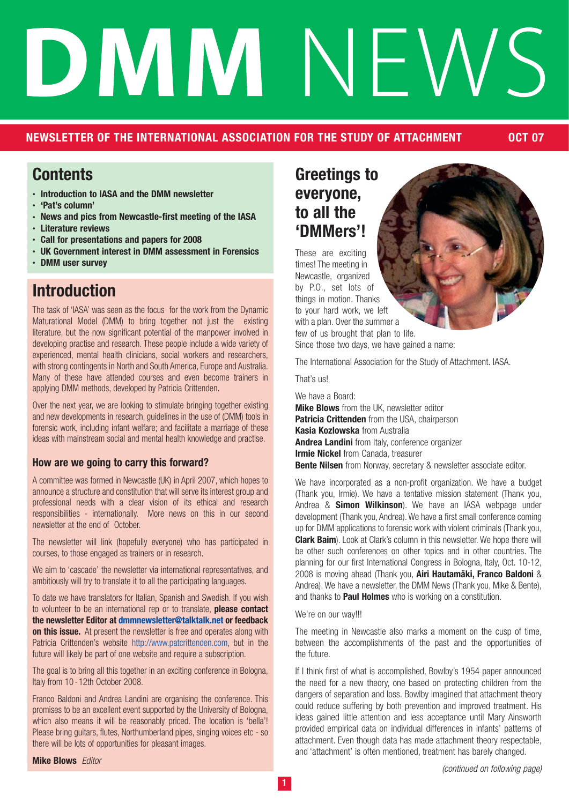# DMMNF

## **NEWSLETTER OF THE INTERNATIONAL ASSOCIATION FOR THE STUDY OF ATTACHMENT OCT 07**

## **Contents**

- **• Introduction to IASA and the DMM newsletter**
- **• 'Pat's column'**
- **• News and pics from Newcastle-first meeting of the IASA**
- **• Literature reviews**
- **• Call for presentations and papers for 2008**
- **• UK Government interest in DMM assessment in Forensics**
- **• DMM user survey**

# **Introduction**

The task of 'IASA' was seen as the focus for the work from the Dynamic Maturational Model (DMM) to bring together not just the existing literature, but the now significant potential of the manpower involved in developing practise and research. These people include a wide variety of experienced, mental health clinicians, social workers and researchers, with strong contingents in North and South America, Europe and Australia. Many of these have attended courses and even become trainers in applying DMM methods, developed by Patricia Crittenden.

Over the next year, we are looking to stimulate bringing together existing and new developments in research, guidelines in the use of (DMM) tools in forensic work, including infant welfare; and facilitate a marriage of these ideas with mainstream social and mental health knowledge and practise.

## **How are we going to carry this forward?**

A committee was formed in Newcastle (UK) in April 2007, which hopes to announce a structure and constitution that will serve its interest group and professional needs with a clear vision of its ethical and research responsibilities - internationally. More news on this in our second newsletter at the end of October.

The newsletter will link (hopefully everyone) who has participated in courses, to those engaged as trainers or in research.

We aim to 'cascade' the newsletter via international representatives, and ambitiously will try to translate it to all the participating languages.

To date we have translators for Italian, Spanish and Swedish. If you wish to volunteer to be an international rep or to translate, **please contact the newsletter Editor at dmmnewsletter@talktalk.net or feedback on this issue.** At present the newsletter is free and operates along with Patricia Crittenden's website http://www.patcrittenden.com, but in the future will likely be part of one website and require a subscription.

The goal is to bring all this together in an exciting conference in Bologna, Italy from 10 -12th October 2008.

Franco Baldoni and Andrea Landini are organising the conference. This promises to be an excellent event supported by the University of Bologna, which also means it will be reasonably priced. The location is 'bella'! Please bring guitars, flutes, Northumberland pipes, singing voices etc - so there will be lots of opportunities for pleasant images.

**Mike Blows** Editor

# **Greetings to everyone, to all the 'DMMers'!**

These are exciting times! The meeting in Newcastle, organized by P.O., set lots of things in motion. Thanks to your hard work, we left with a plan. Over the summer a few of us brought that plan to life.

Since those two days, we have gained a name:

The International Association for the Study of Attachment. IASA.

That's us!

We have a Board: **Mike Blows** from the UK, newsletter editor **Patricia Crittenden** from the USA, chairperson **Kasia Kozlowska** from Australia **Andrea Landini** from Italy, conference organizer **Irmie Nickel** from Canada, treasurer **Bente Nilsen** from Norway, secretary & newsletter associate editor.

We have incorporated as a non-profit organization. We have a budget (Thank you, Irmie). We have a tentative mission statement (Thank you, Andrea & **Simon Wilkinson**). We have an IASA webpage under development (Thank you, Andrea). We have a first small conference coming up for DMM applications to forensic work with violent criminals (Thank you, **Clark Baim**). Look at Clark's column in this newsletter. We hope there will be other such conferences on other topics and in other countries. The planning for our first International Congress in Bologna, Italy, Oct. 10-12, 2008 is moving ahead (Thank you, **Airi Hautamäki, Franco Baldoni** & Andrea). We have a newsletter, the DMM News (Thank you, Mike & Bente), and thanks to **Paul Holmes** who is working on a constitution.

We're on our way!!!

The meeting in Newcastle also marks a moment on the cusp of time, between the accomplishments of the past and the opportunities of the future.

If I think first of what is accomplished, Bowlby's 1954 paper announced the need for a new theory, one based on protecting children from the dangers of separation and loss. Bowlby imagined that attachment theory could reduce suffering by both prevention and improved treatment. His ideas gained little attention and less acceptance until Mary Ainsworth provided empirical data on individual differences in infants' patterns of attachment. Even though data has made attachment theory respectable, and 'attachment' is often mentioned, treatment has barely changed.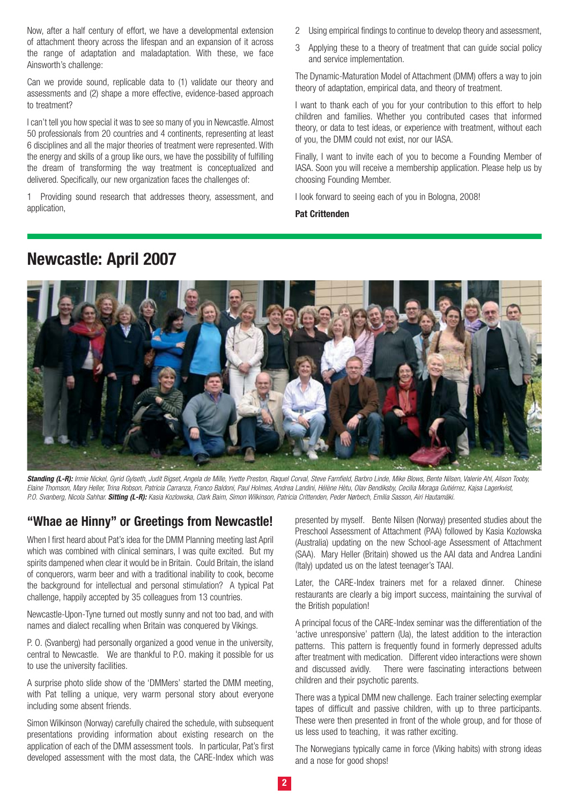Now, after a half century of effort, we have a developmental extension of attachment theory across the lifespan and an expansion of it across the range of adaptation and maladaptation. With these, we face Ainsworth's challenge:

Can we provide sound, replicable data to (1) validate our theory and assessments and (2) shape a more effective, evidence-based approach to treatment?

I can't tell you how special it was to see so many of you in Newcastle. Almost 50 professionals from 20 countries and 4 continents, representing at least 6 disciplines and all the major theories of treatment were represented. With the energy and skills of a group like ours, we have the possibility of fulfilling the dream of transforming the way treatment is conceptualized and delivered. Specifically, our new organization faces the challenges of:

1 Providing sound research that addresses theory, assessment, and application,

- 2 Using empirical findings to continue to develop theory and assessment,
- 3 Applying these to a theory of treatment that can guide social policy and service implementation.

The Dynamic-Maturation Model of Attachment (DMM) offers a way to join theory of adaptation, empirical data, and theory of treatment.

I want to thank each of you for your contribution to this effort to help children and families. Whether you contributed cases that informed theory, or data to test ideas, or experience with treatment, without each of you, the DMM could not exist, nor our IASA.

Finally, I want to invite each of you to become a Founding Member of IASA. Soon you will receive a membership application. Please help us by choosing Founding Member.

I look forward to seeing each of you in Bologna, 2008!

**Pat Crittenden**

## **Newcastle: April 2007**



**Standing (L-R):** Irmie Nickel, Gyrid Gylseth, Judit Bigset, Angela de Mille, Yvette Preston, Raquel Corval, Steve Farnfield, Barbro Linde, Mike Blows, Bente Nilsen, Valerie Ahl, Alison Tooby, Elaine Thomson, Mary Heller, Trina Robson, Patricia Carranza, Franco Baldoni, Paul Holmes, Andrea Landini, Hélène Hètu, Olav Bendiksby, Cecilia Moraga Gutiérrez, Kajsa Lagerkvist, P.O. Svanberg, Nicola Sahhar. **Sitting (L-R):** Kasia Kozlowska, Clark Baim, Simon Wilkinson, Patricia Crittenden, Peder Nørbech, Emilia Sasson, Airi Hautamäki.

## **"Whae ae Hinny" or Greetings from Newcastle!**

When I first heard about Pat's idea for the DMM Planning meeting last April which was combined with clinical seminars, I was quite excited. But my spirits dampened when clear it would be in Britain. Could Britain, the island of conquerors, warm beer and with a traditional inability to cook, become the background for intellectual and personal stimulation? A typical Pat challenge, happily accepted by 35 colleagues from 13 countries.

Newcastle-Upon-Tyne turned out mostly sunny and not too bad, and with names and dialect recalling when Britain was conquered by Vikings.

P. O. (Svanberg) had personally organized a good venue in the university, central to Newcastle. We are thankful to P.O. making it possible for us to use the university facilities.

A surprise photo slide show of the 'DMMers' started the DMM meeting, with Pat telling a unique, very warm personal story about everyone including some absent friends.

Simon Wilkinson (Norway) carefully chaired the schedule, with subsequent presentations providing information about existing research on the application of each of the DMM assessment tools. In particular, Pat's first developed assessment with the most data, the CARE-Index which was

presented by myself. Bente Nilsen (Norway) presented studies about the Preschool Assessment of Attachment (PAA) followed by Kasia Kozlowska (Australia) updating on the new School-age Assessment of Attachment (SAA). Mary Heller (Britain) showed us the AAI data and Andrea Landini (Italy) updated us on the latest teenager's TAAI.

Later, the CARE-Index trainers met for a relaxed dinner. Chinese restaurants are clearly a big import success, maintaining the survival of the British population!

A principal focus of the CARE-Index seminar was the differentiation of the 'active unresponsive' pattern (Ua), the latest addition to the interaction patterns. This pattern is frequently found in formerly depressed adults after treatment with medication. Different video interactions were shown and discussed avidly. There were fascinating interactions between children and their psychotic parents.

There was a typical DMM new challenge. Each trainer selecting exemplar tapes of difficult and passive children, with up to three participants. These were then presented in front of the whole group, and for those of us less used to teaching, it was rather exciting.

The Norwegians typically came in force (Viking habits) with strong ideas and a nose for good shops!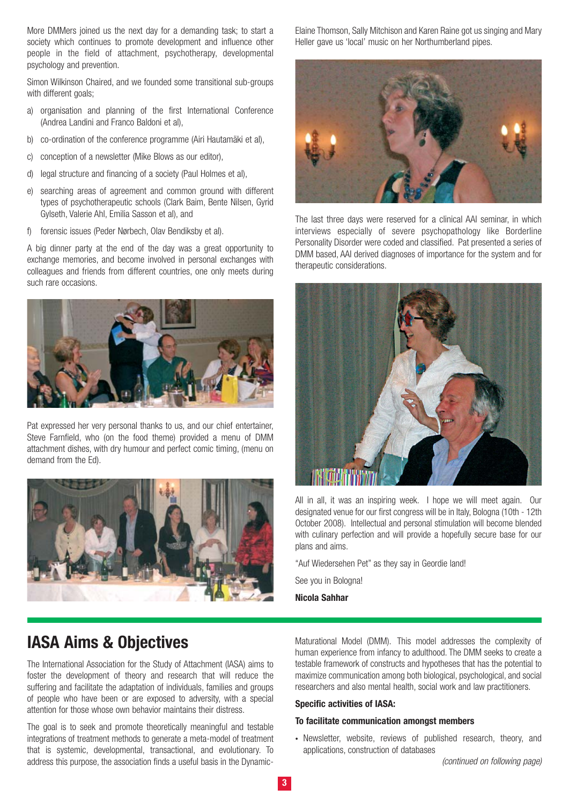More DMMers joined us the next day for a demanding task; to start a society which continues to promote development and influence other people in the field of attachment, psychotherapy, developmental psychology and prevention.

Simon Wilkinson Chaired, and we founded some transitional sub-groups with different goals;

- a) organisation and planning of the first International Conference (Andrea Landini and Franco Baldoni et al),
- b) co-ordination of the conference programme (Airi Hautamäki et al),
- c) conception of a newsletter (Mike Blows as our editor),
- d) legal structure and financing of a society (Paul Holmes et al),
- e) searching areas of agreement and common ground with different types of psychotherapeutic schools (Clark Baim, Bente Nilsen, Gyrid Gylseth, Valerie Ahl, Emilia Sasson et al), and
- f) forensic issues (Peder Nørbech, Olav Bendiksby et al).

A big dinner party at the end of the day was a great opportunity to exchange memories, and become involved in personal exchanges with colleagues and friends from different countries, one only meets during such rare occasions.



Pat expressed her very personal thanks to us, and our chief entertainer, Steve Farnfield, who (on the food theme) provided a menu of DMM attachment dishes, with dry humour and perfect comic timing, (menu on demand from the Ed).



Elaine Thomson, Sally Mitchison and Karen Raine got us singing and Mary Heller gave us 'local' music on her Northumberland pipes.



The last three days were reserved for a clinical AAI seminar, in which interviews especially of severe psychopathology like Borderline Personality Disorder were coded and classified. Pat presented a series of DMM based, AAI derived diagnoses of importance for the system and for therapeutic considerations.



All in all, it was an inspiring week. I hope we will meet again. Our designated venue for our first congress will be in Italy, Bologna (10th - 12th October 2008). Intellectual and personal stimulation will become blended with culinary perfection and will provide a hopefully secure base for our plans and aims.

"Auf Wiedersehen Pet" as they say in Geordie land!

See you in Bologna!

**Nicola Sahhar**

## **IASA Aims & Objectives**

The International Association for the Study of Attachment (IASA) aims to foster the development of theory and research that will reduce the suffering and facilitate the adaptation of individuals, families and groups of people who have been or are exposed to adversity, with a special attention for those whose own behavior maintains their distress.

The goal is to seek and promote theoretically meaningful and testable integrations of treatment methods to generate a meta-model of treatment that is systemic, developmental, transactional, and evolutionary. To address this purpose, the association finds a useful basis in the DynamicMaturational Model (DMM). This model addresses the complexity of human experience from infancy to adulthood. The DMM seeks to create a testable framework of constructs and hypotheses that has the potential to maximize communication among both biological, psychological, and social researchers and also mental health, social work and law practitioners.

#### **Specific activities of IASA:**

#### **To facilitate communication amongst members**

**•** Newsletter, website, reviews of published research, theory, and applications, construction of databases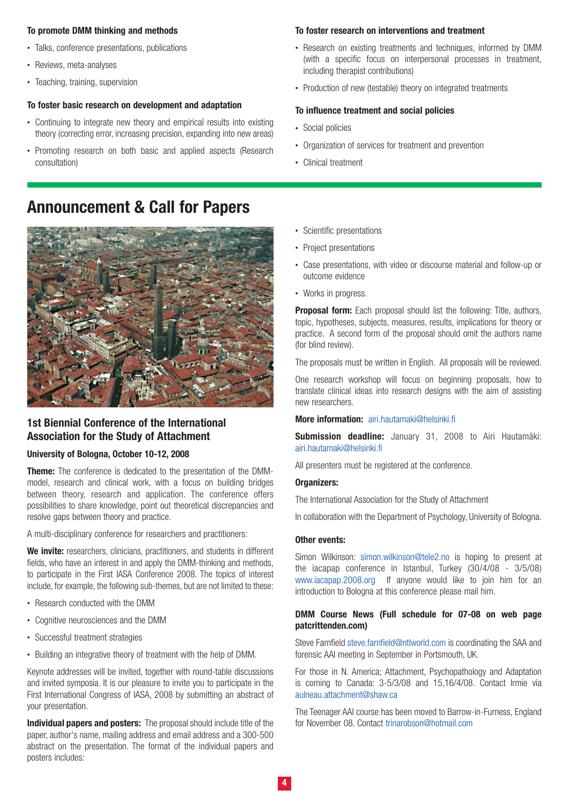#### **To promote DMM thinking and methods**

- **•** Talks, conference presentations, publications
- **•** Reviews, meta-analyses
- **•** Teaching, training, supervision

#### **To foster basic research on development and adaptation**

- **•** Continuing to integrate new theory and empirical results into existing theory (correcting error, increasing precision, expanding into new areas)
- **•** Promoting research on both basic and applied aspects (Research consultation)

# **Announcement & Call for Papers**



## **1st Biennial Conference of the International Association for the Study of Attachment**

#### **University of Bologna, October 10-12, 2008**

**Theme:** The conference is dedicated to the presentation of the DMMmodel, research and clinical work, with a focus on building bridges between theory, research and application. The conference offers possibilities to share knowledge, point out theoretical discrepancies and resolve gaps between theory and practice.

A multi-disciplinary conference for researchers and practitioners:

We invite: researchers, clinicians, practitioners, and students in different fields, who have an interest in and apply the DMM-thinking and methods, to participate in the First IASA Conference 2008. The topics of interest include, for example, the following sub-themes, but are not limited to these:

- **•** Research conducted with the DMM
- **•** Cognitive neurosciences and the DMM
- **•** Successful treatment strategies
- **•** Building an integrative theory of treatment with the help of DMM.

Keynote addresses will be invited, together with round-table discussions and invited symposia. It is our pleasure to invite you to participate in the First International Congress of IASA, 2008 by submitting an abstract of your presentation.

**Individual papers and posters:** The proposal should include title of the paper, author's name, mailing address and email address and a 300-500 abstract on the presentation. The format of the individual papers and posters includes:

#### **To foster research on interventions and treatment**

- **•** Research on existing treatments and techniques, informed by DMM (with a specific focus on interpersonal processes in treatment, including therapist contributions)
- **•** Production of new (testable) theory on integrated treatments

### **To influence treatment and social policies**

- **•** Social policies
- **•** Organization of services for treatment and prevention
- **•** Clinical treatment
- **•** Scientific presentations
- **•** Project presentations
- **•** Case presentations, with video or discourse material and follow-up or outcome evidence
- **•** Works in progress.

**Proposal form:** Each proposal should list the following: Title, authors, topic, hypotheses, subjects, measures, results, implications for theory or practice. A second form of the proposal should omit the authors name (for blind review).

The proposals must be written in English. All proposals will be reviewed.

One research workshop will focus on beginning proposals, how to translate clinical ideas into research designs with the aim of assisting new researchers.

#### **More information:** airi.hautamaki@helsinki.fi

**Submission deadline:** January 31, 2008 to Airi Hautamäki: airi.hautamaki@helsinki.fi

All presenters must be registered at the conference.

#### **Organizers:**

The International Association for the Study of Attachment

In collaboration with the Department of Psychology, University of Bologna.

#### **Other events:**

Simon Wilkinson: simon.wilkinson@tele2.no is hoping to present at the iacapap conference in Istanbul, Turkey (30/4/08 - 3/5/08) www.iacapap.2008.org If anyone would like to join him for an introduction to Bologna at this conference please mail him.

#### **DMM Course News (Full schedule for 07-08 on web page patcrittenden.com)**

Steve Farnfield steve.farnfield@ntlworld.com is coordinating the SAA and forensic AAI meeting in September in Portsmouth, UK.

For those in N. America; Attachment, Psychopathology and Adaptation is coming to Canada: 3-5/3/08 and 15,16/4/08. Contact Irmie via aulneau.attachment@shaw.ca

The Teenager AAI course has been moved to Barrow-in-Furness, England for November 08. Contact trinarobson@hotmail.com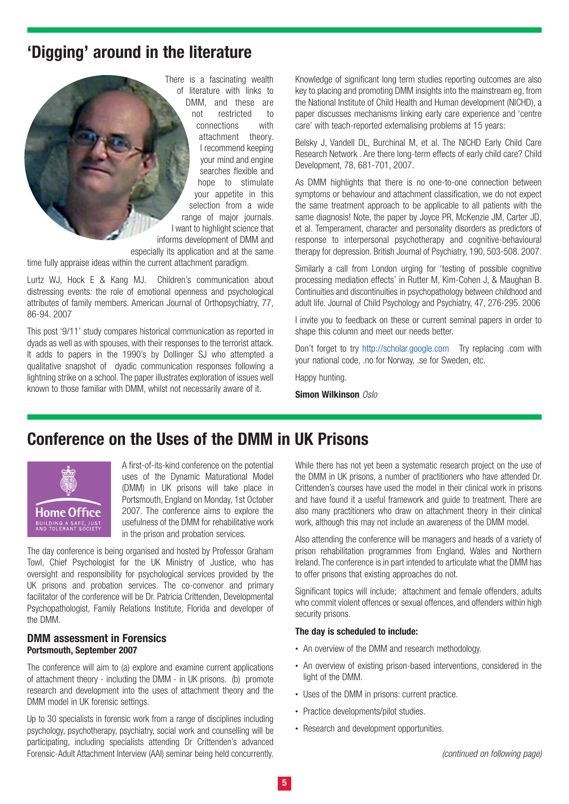# **'Digging' around in the literature**



time fully appraise ideas within the current attachment paradigm.

Lurtz WJ, Hock E & Kang MJ. Children's communication about distressing events: the role of emotional openness and psychological attributes of family members. American Journal of Orthopsychiatry, 77, 86-94. 2007

This post '9/11' study compares historical communication as reported in dyads as well as with spouses, with their responses to the terrorist attack. It adds to papers in the 1990's by Dollinger SJ who attempted a qualitative snapshot of dyadic communication responses following a lightning strike on a school. The paper illustrates exploration of issues well known to those familiar with DMM, whilst not necessarily aware of it.

Knowledge of significant long term studies reporting outcomes are also key to placing and promoting DMM insights into the mainstream eg, from the National Institute of Child Health and Human development (NICHD), a paper discusses mechanisms linking early care experience and 'centre care' with teach-reported externalising problems at 15 years:

Belsky J, Vandell DL, Burchinal M, et al. The NICHD Early Child Care Research Network . Are there long-term effects of early child care? Child Development, 78, 681-701, 2007.

As DMM highlights that there is no one-to-one connection between symptoms or behaviour and attachment classification, we do not expect the same treatment approach to be applicable to all patients with the same diagnosis! Note, the paper by Joyce PR, McKenzie JM, Carter JD, et al. Temperament, character and personality disorders as predictors of response to interpersonal psychotherapy and cognitive-behavioural therapy for depression. British Journal of Psychiatry, 190, 503-508. 2007.

Similarly a call from London urging for 'testing of possible cognitive processing mediation effects' in Rutter M, Kim-Cohen J, & Maughan B. Continuities and discontinuities in psychopathology between childhood and adult life. Journal of Child Psychology and Psychiatry, 47, 276-295. 2006

I invite you to feedback on these or current seminal papers in order to shape this column and meet our needs better.

Don't forget to try http://scholar.google.com Try replacing .com with your national code, .no for Norway, .se for Sweden, etc.

Happy hunting.

**Simon Wilkinson** Oslo

## **Conference on the Uses of the DMM in UK Prisons**



A first-of-its-kind conference on the potential uses of the Dynamic Maturational Model (DMM) in UK prisons will take place in Portsmouth, England on Monday, 1st October 2007. The conference aims to explore the usefulness of the DMM for rehabilitative work in the prison and probation services.

The day conference is being organised and hosted by Professor Graham Towl, Chief Psychologist for the UK Ministry of Justice, who has oversight and responsibility for psychological services provided by the UK prisons and probation services. The co-convenor and primary facilitator of the conference will be Dr. Patricia Crittenden, Developmental Psychopathologist, Family Relations Institute, Florida and developer of the DMM.

#### **DMM assessment in Forensics Portsmouth, September 2007**

The conference will aim to (a) explore and examine current applications of attachment theory - including the DMM - in UK prisons. (b) promote research and development into the uses of attachment theory and the DMM model in UK forensic settings.

Up to 30 specialists in forensic work from a range of disciplines including psychology, psychotherapy, psychiatry, social work and counselling will be participating, including specialists attending Dr Crittenden's advanced Forensic-Adult Attachment Interview (AAI) seminar being held concurrently.

While there has not yet been a systematic research project on the use of the DMM in UK prisons, a number of practitioners who have attended Dr. Crittenden's courses have used the model in their clinical work in prisons and have found it a useful framework and guide to treatment. There are also many practitioners who draw on attachment theory in their clinical work, although this may not include an awareness of the DMM model.

Also attending the conference will be managers and heads of a variety of prison rehabilitation programmes from England, Wales and Northern Ireland. The conference is in part intended to articulate what the DMM has to offer prisons that existing approaches do not.

Significant topics will include; attachment and female offenders, adults who commit violent offences or sexual offences, and offenders within high security prisons.

#### **The day is scheduled to include:**

- **•** An overview of the DMM and research methodology.
- **•** An overview of existing prison-based interventions, considered in the light of the DMM.
- **•** Uses of the DMM in prisons: current practice.
- **•** Practice developments/pilot studies.
- **•** Research and development opportunities.